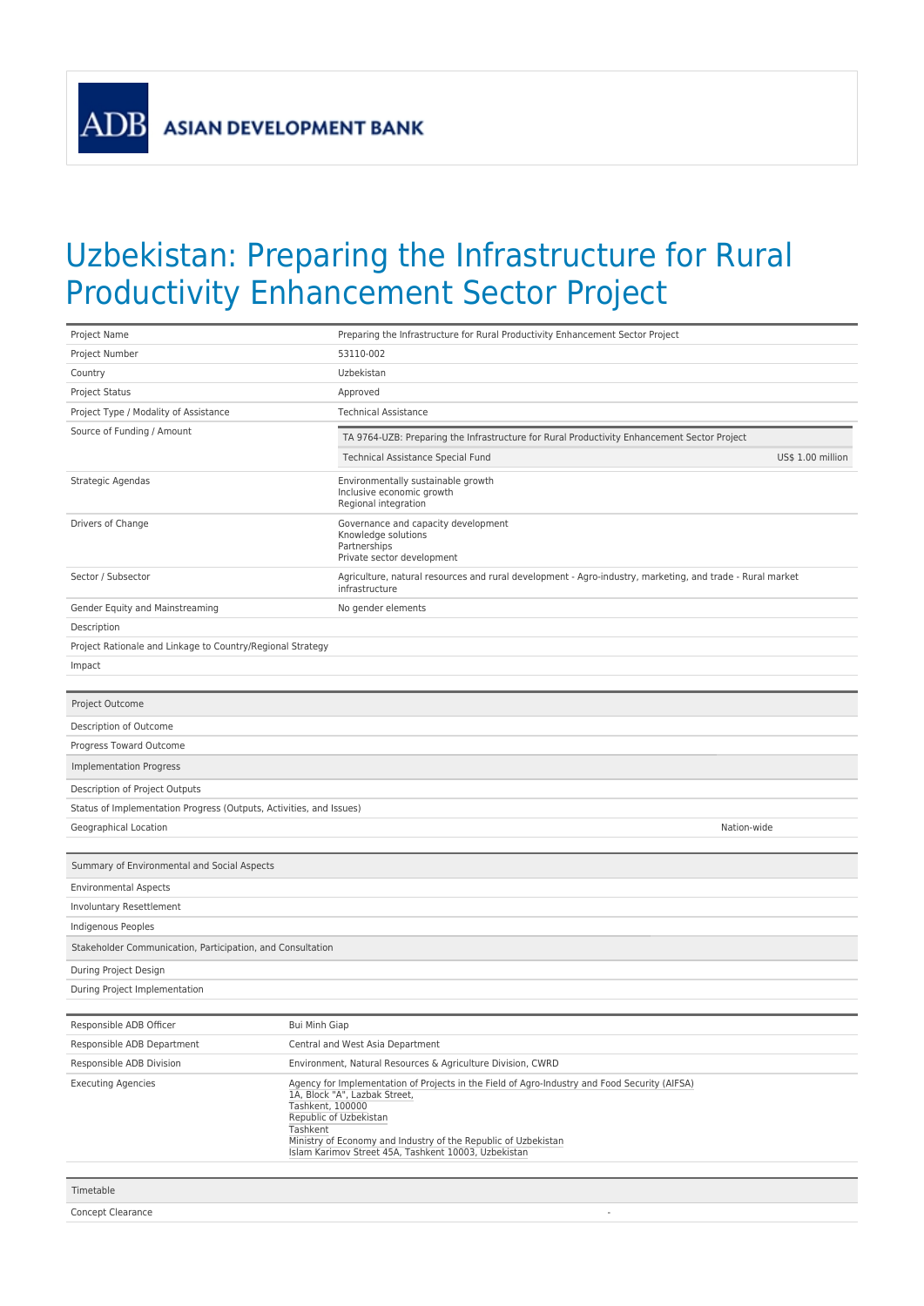**ASIAN DEVELOPMENT BANK** 

**ADB** 

## Uzbekistan: Preparing the Infrastructure for Rural Productivity Enhancement Sector Project

| Project Name                                                        | Preparing the Infrastructure for Rural Productivity Enhancement Sector Project                                                                                                                                                                                                                                     |  |  |  |  |
|---------------------------------------------------------------------|--------------------------------------------------------------------------------------------------------------------------------------------------------------------------------------------------------------------------------------------------------------------------------------------------------------------|--|--|--|--|
| Project Number                                                      | 53110-002                                                                                                                                                                                                                                                                                                          |  |  |  |  |
| Country                                                             | Uzbekistan                                                                                                                                                                                                                                                                                                         |  |  |  |  |
| Project Status                                                      | Approved                                                                                                                                                                                                                                                                                                           |  |  |  |  |
| Project Type / Modality of Assistance                               | <b>Technical Assistance</b>                                                                                                                                                                                                                                                                                        |  |  |  |  |
| Source of Funding / Amount                                          | TA 9764-UZB: Preparing the Infrastructure for Rural Productivity Enhancement Sector Project                                                                                                                                                                                                                        |  |  |  |  |
|                                                                     | Technical Assistance Special Fund<br>US\$ 1.00 million                                                                                                                                                                                                                                                             |  |  |  |  |
| Strategic Agendas                                                   | Environmentally sustainable growth<br>Inclusive economic growth<br>Regional integration                                                                                                                                                                                                                            |  |  |  |  |
| Drivers of Change                                                   | Governance and capacity development<br>Knowledge solutions<br>Partnerships<br>Private sector development                                                                                                                                                                                                           |  |  |  |  |
| Sector / Subsector                                                  | Agriculture, natural resources and rural development - Agro-industry, marketing, and trade - Rural market<br>infrastructure                                                                                                                                                                                        |  |  |  |  |
| Gender Equity and Mainstreaming                                     | No gender elements                                                                                                                                                                                                                                                                                                 |  |  |  |  |
| Description                                                         |                                                                                                                                                                                                                                                                                                                    |  |  |  |  |
| Project Rationale and Linkage to Country/Regional Strategy          |                                                                                                                                                                                                                                                                                                                    |  |  |  |  |
| Impact                                                              |                                                                                                                                                                                                                                                                                                                    |  |  |  |  |
|                                                                     |                                                                                                                                                                                                                                                                                                                    |  |  |  |  |
| Project Outcome                                                     |                                                                                                                                                                                                                                                                                                                    |  |  |  |  |
| Description of Outcome                                              |                                                                                                                                                                                                                                                                                                                    |  |  |  |  |
| Progress Toward Outcome                                             |                                                                                                                                                                                                                                                                                                                    |  |  |  |  |
| <b>Implementation Progress</b>                                      |                                                                                                                                                                                                                                                                                                                    |  |  |  |  |
| Description of Project Outputs                                      |                                                                                                                                                                                                                                                                                                                    |  |  |  |  |
| Status of Implementation Progress (Outputs, Activities, and Issues) |                                                                                                                                                                                                                                                                                                                    |  |  |  |  |
| Geographical Location                                               | Nation-wide                                                                                                                                                                                                                                                                                                        |  |  |  |  |
|                                                                     |                                                                                                                                                                                                                                                                                                                    |  |  |  |  |
| Summary of Environmental and Social Aspects                         |                                                                                                                                                                                                                                                                                                                    |  |  |  |  |
| <b>Environmental Aspects</b>                                        |                                                                                                                                                                                                                                                                                                                    |  |  |  |  |
| Involuntary Resettlement                                            |                                                                                                                                                                                                                                                                                                                    |  |  |  |  |
| Indigenous Peoples                                                  |                                                                                                                                                                                                                                                                                                                    |  |  |  |  |
| Stakeholder Communication, Participation, and Consultation          |                                                                                                                                                                                                                                                                                                                    |  |  |  |  |
| During Project Design                                               |                                                                                                                                                                                                                                                                                                                    |  |  |  |  |
| During Project Implementation                                       |                                                                                                                                                                                                                                                                                                                    |  |  |  |  |
|                                                                     |                                                                                                                                                                                                                                                                                                                    |  |  |  |  |
| Responsible ADB Officer                                             | <b>Bui Minh Giap</b>                                                                                                                                                                                                                                                                                               |  |  |  |  |
| Responsible ADB Department                                          | Central and West Asia Department                                                                                                                                                                                                                                                                                   |  |  |  |  |
| Responsible ADB Division                                            | Environment, Natural Resources & Agriculture Division, CWRD                                                                                                                                                                                                                                                        |  |  |  |  |
| <b>Executing Agencies</b>                                           | Agency for Implementation of Projects in the Field of Agro-Industry and Food Security (AIFSA)<br>1A, Block "A", Lazbak Street,<br>Tashkent, 100000<br>Republic of Uzbekistan<br>Tashkent<br>Ministry of Economy and Industry of the Republic of Uzbekistan<br>Islam Karimov Street 45A, Tashkent 10003, Uzbekistan |  |  |  |  |
| Timetable                                                           |                                                                                                                                                                                                                                                                                                                    |  |  |  |  |